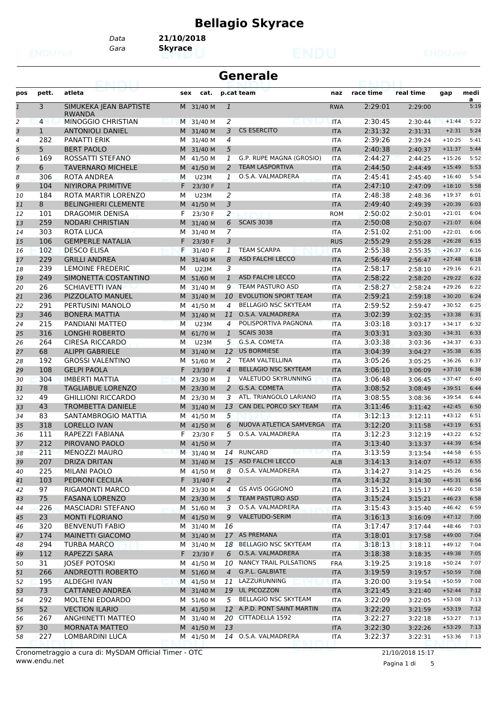# **Bellagio Skyrace**

**Generale**

*Gara* **Skyrace** *Data* **21/10/2018**

| pos            | pett.        | atleta                              |    | cat.<br>sex  |                | p.cat team                  | naz        | race time | real time | gap      | medi      |
|----------------|--------------|-------------------------------------|----|--------------|----------------|-----------------------------|------------|-----------|-----------|----------|-----------|
| $\overline{1}$ | 3            | SIMUKEKA JEAN BAPTISTE              |    | M 31/40 M    | $\mathbf{1}$   |                             | <b>RWA</b> | 2:29:01   | 2:29:00   |          | a<br>5:19 |
| 2              | 4            | <b>RWANDA</b><br>MINOGGIO CHRISTIAN |    | M 31/40 M    | 2              |                             | <b>ITA</b> | 2:30:45   | 2:30:44   | $+1:44$  | 5:22      |
| З              | $\mathbf{1}$ | <b>ANTONIOLI DANIEL</b>             |    | 31/40 M<br>M | 3              | <b>CS ESERCITO</b>          | <b>ITA</b> | 2:31:32   | 2:31:31   | $+2:31$  | 5:24      |
| 4              | 282          | PANATTI ERIK                        | м  | 31/40 M      | 4              |                             | <b>ITA</b> | 2:39:26   | 2:39:24   | $+10:25$ | 5:41      |
| 5              | 5            | <b>BERT PAOLO</b>                   |    | M 31/40 M    | 5              |                             | <b>ITA</b> | 2:40:38   | 2:40:37   | $+11:37$ | 5:44      |
| 6              | 169          | ROSSATTI STEFANO                    | м  | 41/50 M      | 1              | G.P. RUPE MAGNA (GROSIO)    | <b>ITA</b> | 2:44:27   | 2:44:25   | $+15:26$ | 5:52      |
| 7              | 6            | <b>TAVERNARO MICHELE</b>            |    | M 41/50 M    | 2              | <b>TEAM LASPORTIVA</b>      | <b>ITA</b> | 2:44:50   | 2:44:49   | $+15:49$ | 5:53      |
| 8              | 306          | ROTA ANDREA                         | M  | <b>U23M</b>  | 1              | O.S.A. VALMADRERA           | <b>ITA</b> | 2:45:41   | 2:45:40   | $+16:40$ | 5:54      |
| 9              | 104          | NIYIRORA PRIMITIVE                  | F  | 23/30 F      | $\mathbf{1}$   |                             | <b>ITA</b> | 2:47:10   | 2:47:09   | $+18:10$ | 5:58      |
| 10             | 184          | ROTA MARTIR LORENZO                 | М  | <b>U23M</b>  | 2              |                             | <b>ITA</b> | 2:48:38   | 2:48:36   | $+19:37$ | 6:01      |
| 11             | 8            | <b>BELINGHIERI CLEMENTE</b>         |    | M 41/50 M    | 3              |                             | <b>ITA</b> | 2:49:40   | 2:49:39   | $+20:39$ | 6:03      |
| 12             | 101          | DRAGOMIR DENISA                     | F  | 23/30 F      | 2              |                             | <b>ROM</b> | 2:50:02   | 2:50:01   | $+21:01$ | 6:04      |
| 13             | 259          | <b>NODARI CHRISTIAN</b>             |    | M<br>31/40 M | 6              | <b>SCAIS 3038</b>           | <b>ITA</b> | 2:50:08   | 2:50:07   | $+21:07$ | 6:04      |
| 14             | 303          | ROTA LUCA                           | м  | 31/40 M      | $\overline{7}$ |                             | <b>ITA</b> | 2:51:02   | 2:51:00   | $+22:01$ | 6:06      |
| 15             | 106          | <b>GEMPERLE NATALIA</b>             | F  | 23/30 F      | 3              |                             | <b>RUS</b> | 2:55:29   | 2:55:28   | $+26:28$ | 6:15      |
| 16             | 102          | <b>DESCO ELISA</b>                  | F  | 31/40 F      | $\mathbf{1}$   | <b>TEAM SCARPA</b>          | <b>ITA</b> | 2:55:38   | 2:55:35   | $+26:37$ | 6:16      |
| 17             | 229          | <b>GRILLI ANDREA</b>                |    | M<br>31/40 M | 8              | <b>ASD FALCHI LECCO</b>     | <b>ITA</b> | 2:56:49   | 2:56:47   | $+27:48$ | 6:18      |
| 18             | 239          | <b>LEMOINE FREDERIC</b>             | М  | <b>U23M</b>  | 3              |                             | <b>ITA</b> | 2:58:17   | 2:58:10   | $+29:16$ | 6:21      |
| 19             | 249          | SIMONETTA COSTANTINO                |    | M 51/60 M    | $\mathbf{1}$   | <b>ASD FALCHI LECCO</b>     | <b>ITA</b> | 2:58:22   | 2:58:20   | $+29:22$ | 6:22      |
| 20             | 26           | <b>SCHIAVETTI IVAN</b>              | м  | 31/40 M      | 9              | <b>TEAM PASTURO ASD</b>     | <b>ITA</b> | 2:58:27   | 2:58:24   | $+29:26$ | 6:22      |
| 21             | 236          | PIZZOLATO MANUEL                    |    | M<br>31/40 M | 10             | <b>EVOLUTION SPORT TEAM</b> | <b>ITA</b> | 2:59:21   | 2:59:18   | $+30:20$ | 6:24      |
| 22             | 291          | PERTUSINI MANOLO                    | м  | 41/50 M      | 4              | <b>BELLAGIO NSC SKYTEAM</b> | <b>ITA</b> | 2:59:52   | 2:59:47   | $+30:52$ | 6:25      |
| 23             | 346          | <b>BONERA MATTIA</b>                |    | M<br>31/40 M | 11             | O.S.A. VALMADRERA           | <b>ITA</b> | 3:02:39   | 3:02:35   | $+33:38$ | 6:31      |
| 24             | 215          | PANDIANI MATTEO                     | M  | <b>U23M</b>  | 4              | POLISPORTIVA PAGNONA        | <b>ITA</b> | 3:03:18   | 3:03:17   | $+34:17$ | 6:32      |
| 25             | 316          | <b>LONGHI ROBERTO</b>               |    | M<br>61/70 M | $\mathbf{1}$   | <b>SCAIS 3038</b>           | <b>ITA</b> | 3:03:31   | 3:03:30   | $+34:31$ | 6:33      |
| 26             | 264          | <b>CIRESA RICCARDO</b>              | М  | <b>U23M</b>  | 5              | G.S.A. COMETA               | <b>ITA</b> | 3:03:38   | 3:03:36   | $+34:37$ | 6:33      |
| 27             | 68           | <b>ALIPPI GABRIELE</b>              | M  | 31/40 M      | 12             | <b>US BORMIESE</b>          | <b>ITA</b> | 3:04:39   | 3:04:27   | $+35:38$ | 6:35      |
| 28             | 192          | <b>GROSSI VALENTINO</b>             | м  | 51/60 M      | 2              | <b>TEAM VALTELLINA</b>      | <b>ITA</b> | 3:05:26   | 3:05:25   | $+36:26$ | 6:37      |
| 29             | 108          | <b>GELPI PAOLA</b>                  | F  | 23/30 F      | $\overline{4}$ | <b>BELLAGIO NSC SKYTEAM</b> | <b>ITA</b> | 3:06:10   | 3:06:09   | $+37:10$ | 6:38      |
| 30             | 304          | <b>IMBERTI MATTIA</b>               | M  | 23/30 M      | 1              | VALETUDO SKYRUNNING         | <b>ITA</b> | 3:06:48   | 3:06:45   | $+37:47$ | 6:40      |
| 31             | 78           | TAGLIABUE LORENZO                   |    | M 23/30 M    | 2              | G.S.A. COMETA               | <b>ITA</b> | 3:08:52   | 3:08:49   | $+39:51$ | 6:44      |
| 32             | 49           | <b>GHILLIONI RICCARDO</b>           | м  | 23/30 M      | 3              | ATL. TRIANGOLO LARIANO      | <b>ITA</b> | 3:08:55   | 3:08:36   | $+39:54$ | 6:44      |
| 33             | 43           | <b>TROMBETTA DANIELE</b>            |    | M<br>31/40 M | 13             | CAN DEL PORCO SKY TEAM      | <b>ITA</b> | 3:11:46   | 3:11:42   | $+42:45$ | 6:50      |
| 34             | 83           | SANTAMBROGIO MATTIA                 | м  | 41/50 M      | 5              |                             | <b>ITA</b> | 3:12:13   | 3:12:11   | $+43:12$ | 6:51      |
| 35             | 318          | <b>LORELLO IVAN</b>                 |    | M 41/50 M    | 6              | NUOVA ATLETICA SAMVERGA     | <b>ITA</b> | 3:12:20   | 3:11:58   | $+43:19$ | 6:51      |
| 36             | 111          | RAPEZZI FABIANA                     | F  | 23/30 F      | 5              | O.S.A. VALMADRERA           | ITA        | 3:12:23   | 3:12:19   | $+43:22$ | 6:52      |
| 37             | 212          | PIROVANO PAOLO                      |    | M<br>41/50 M | $\overline{7}$ |                             | <b>ITA</b> | 3:13:40   | 3:13:37   | $+44:39$ | 6:54      |
| 38             | 211          | <b>MENOZZI MAURO</b>                |    | M 31/40 M    | 14             | <b>RUNCARD</b>              | <b>ITA</b> | 3:13:59   | 3:13:54   | $+44:58$ | 6:55      |
| 39             | 207          | <b>DRIZA DRITAN</b>                 |    | M 31/40 M    |                | 15 ASD FALCHI LECCO         | <b>ALB</b> | 3:14:13   | 3:14:07   | $+45:12$ | 6:55      |
| 40             | 225          | <b>MILANI PAOLO</b>                 |    | M 41/50 M    | 8              | O.S.A. VALMADRERA           | ITA        | 3:14:27   | 3:14:25   | $+45:26$ | 6:56      |
| 41             | 103          | PEDRONI CECILIA                     | F. | 31/40 F      | 2              |                             | <b>ITA</b> | 3:14:32   | 3:14:30   | $+45:31$ | 6:56      |
| 42             | 97           | RIGAMONTI MARCO                     |    | M 23/30 M    | 4              | <b>GS AVIS OGGIONO</b>      | ITA        | 3:15:21   | 3:15:17   | $+46:20$ | 6:58      |
| 43             | 75           | <b>FASANA LORENZO</b>               |    | M 23/30 M    | 5              | <b>TEAM PASTURO ASD</b>     | <b>ITA</b> | 3:15:24   | 3:15:21   | $+46:23$ | 6:58      |
| 44             | 226          | MASCIADRI STEFANO                   |    | M 51/60 M    | 3              | O.S.A. VALMADRERA           | ITA        | 3:15:43   | 3:15:40   | $+46:42$ | 6:59      |
| 45             | 23           | <b>MONTI FLORIANO</b>               |    | M 41/50 M    | 9              | VALETUDO-SERIM              | <b>ITA</b> | 3:16:13   | 3:16:09   | $+47:12$ | 7:00      |
| 46             | 320          | <b>BENVENUTI FABIO</b>              |    | M 31/40 M    | 16             |                             | ITA        | 3:17:47   | 3:17:44   | $+48:46$ | 7:03      |
| 47             | 174          | <b>MAINETTI GIACOMO</b>             |    | M 31/40 M    |                | 17 AS PREMANA               | <b>ITA</b> | 3:18:01   | 3:17:58   | $+49:00$ | 7:04      |
| 48             | 294          | <b>TURBA MARCO</b>                  |    | M 31/40 M    | 18             | <b>BELLAGIO NSC SKYTEAM</b> | ITA        | 3:18:13   | 3:18:11   | $+49:12$ | 7:04      |
| 49             | 112          | RAPEZZI SARA                        |    | F 23/30 F    |                | 6 O.S.A. VALMADRERA         | <b>ITA</b> | 3:18:38   | 3:18:35   | $+49:38$ | 7:05      |
| 50             | 31           | <b>JOSEF POTOSKI</b>                |    | M 41/50 M    |                | 10 NANCY TRAIL PULSATIONS   | <b>FRA</b> | 3:19:25   | 3:19:18   | $+50:24$ | 7:07      |
| 51             | 266          | ANDREOTTI ROBERTO                   |    | M 51/60 M    | $\overline{4}$ | G.P.L. GALBIATE             | <b>ITA</b> | 3:19:59   | 3:19:57   | $+50:59$ | 7:08      |
| 52             | 195          | ALDEGHI IVAN                        |    | M 41/50 M    | 11             | LAZZURUNNING                | <b>ITA</b> | 3:20:00   | 3:19:54   | $+50:59$ | 7:08      |
| 53             | 73           | <b>CATTANEO ANDREA</b>              |    | M 31/40 M    |                | 19 UL PICOZZON              | <b>ITA</b> | 3:21:45   | 3:21:40   | $+52:44$ | 7:12      |
| 54             | 292          | MOLTENI EDOARDO                     |    | M 51/60 M    | 5              | BELLAGIO NSC SKYTEAM        | ITA        | 3:22:09   | 3:22:05   | $+53:08$ | 7:13      |
| 55             | 52           | <b>VECTION ILARIO</b>               |    | M 41/50 M    |                | 12 A.P.D. PONT SAINT MARTIN | <b>ITA</b> | 3:22:20   | 3:21:59   | $+53:19$ | 7:12      |
| 56             | 267          | ANGHINETTI MATTEO                   |    | M 31/40 M    |                | 20 CITTADELLA 1592          | ITA        | 3:22:27   | 3:22:18   | $+53:27$ | 7:13      |
| 57             | 30           | <b>MORNATA MATTEO</b>               |    | M 41/50 M    | 13             |                             | <b>ITA</b> | 3:22:30   | 3:22:26   | $+53:29$ | 7:13      |
| 58             | 227          | LOMBARDINI LUCA                     |    | M 41/50 M    |                | 14 O.S.A. VALMADRERA        | <b>ITA</b> | 3:22:37   | 3:22:31   | $+53:36$ | 7:13      |

www.endu.net Cronometraggio a cura di: MySDAM Official Timer - OTC 21/10/2018 15:17

Pagina 1 di 5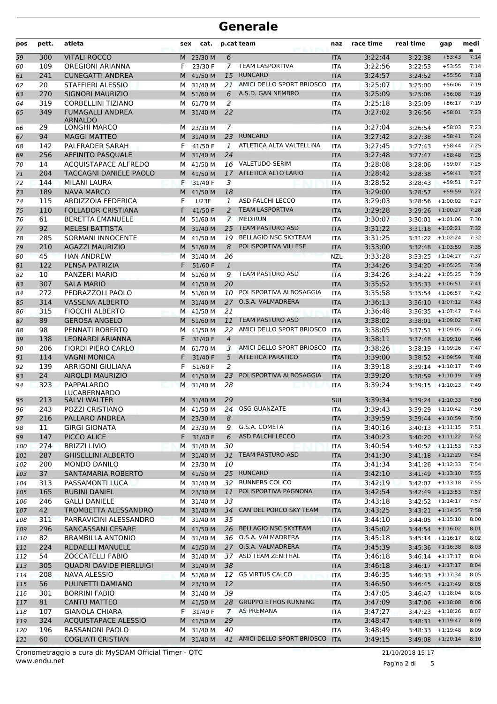| pos        | pett.      | atleta                                    | sex    | cat.                   |                | p.cat team                       | naz                      | race time          | real time                                | gap                      | medi<br>a    |
|------------|------------|-------------------------------------------|--------|------------------------|----------------|----------------------------------|--------------------------|--------------------|------------------------------------------|--------------------------|--------------|
| 59         | 300        | <b>VITALI ROCCO</b>                       |        | M 23/30 M              | 6              |                                  | <b>ITA</b>               | 3:22:44            | 3:22:38                                  | $+53:43$                 | 7:14         |
| 60         | 109        | <b>OREGIONI ARIANNA</b>                   | F      | 23/30 F                | $7^{\circ}$    | <b>TEAM LASPORTIVA</b>           | <b>ITA</b>               | 3:22:56            | 3:22:53                                  | $+53:55$                 | 7:14         |
| 61         | 241        | <b>CUNEGATTI ANDREA</b>                   |        | M 41/50 M              | 15             | <b>RUNCARD</b>                   | <b>ITA</b>               | 3:24:57            | 3:24:52                                  | $+55:56$                 | 7:18         |
| 62         | 20         | <b>STAFFIERI ALESSIO</b>                  | м      | 31/40 M                | 21             | AMICI DELLO SPORT BRIOSCO        | <b>ITA</b>               | 3:25:07            | 3:25:00                                  | $+56:06$                 | 7:19         |
| 63         | 270        | <b>SIGNORI MAURIZIO</b>                   |        | M 51/60 M              | 6              | A.S.D. GAN NEMBRO                | <b>ITA</b>               | 3:25:09            | 3:25:06                                  | $+56:08$                 | 7:19         |
| 64         | 319        | <b>CORBELLINI TIZIANO</b>                 | м      | 61/70 M                | 2              |                                  | <b>ITA</b>               | 3:25:18            | 3:25:09                                  | $+56:17$                 | 7:19         |
| 65         | 349        | <b>FUMAGALLI ANDREA</b><br><b>ARNALDO</b> | м      | 31/40 M                | 22             |                                  | <b>ITA</b>               | 3:27:02            | 3:26:56                                  | $+58:01$                 | 7:23         |
| 66         | 29         | <b>LONGHI MARCO</b>                       |        | M 23/30 M              | 7              |                                  | <b>ITA</b>               | 3:27:04            | 3:26:54                                  | $+58:03$                 | 7:23         |
| 67         | 94         | <b>MAGGI MATTEO</b>                       |        | M 31/40 M              | 23             | <b>RUNCARD</b>                   | <b>ITA</b>               | 3:27:42            | 3:27:38                                  | $+58:41$                 | 7:24         |
| 68         | 142        | PALFRADER SARAH                           | F      | 41/50 F                | 1              | ATLETICA ALTA VALTELLINA         | <b>ITA</b>               | 3:27:45            | 3:27:43                                  | $+58:44$                 | 7:25         |
| 69         | 256        | AFFINITO PASQUALE                         | M      | 31/40 M                | 24             |                                  | <b>ITA</b>               | 3:27:48            | 3:27:47                                  | $+58:48$                 | 7:25         |
| 70         | 14         | <b>ACQUISTAPACE ALFREDO</b>               | м      | 41/50 M                |                | 16 VALETUDO-SERIM                | <b>ITA</b>               | 3:28:08            | 3:28:06                                  | $+59:07$                 | 7:25         |
| 71         | 204        | TACCAGNI DANIELE PAOLO                    |        | M 41/50 M              | 17             | ATLETICA ALTO LARIO              | <b>ITA</b>               | 3:28:42            | 3:28:38                                  | $+59:41$                 | 7:27         |
| 72         | 144        | <b>MILANI LAURA</b>                       | F      | 31/40 F                | 3              |                                  | <b>ITA</b>               | 3:28:52            | 3:28:43                                  | $+59:51$                 | 7:27         |
| 73         | 189        | <b>NAVA MARCO</b>                         | M      | 41/50 M                | 18             |                                  | <b>ITA</b>               | 3:29:00            | 3:28:57                                  | $+59:59$                 | 7:27         |
| 74         | 115        | <b>ARDIZZOIA FEDERICA</b>                 | F      | <b>U23F</b>            | 1              | ASD FALCHI LECCO                 | <b>ITA</b>               | 3:29:03            | 3:28:56                                  | $+1:00:02$               | 7:27         |
| 75         | 110        | <b>FOLLADOR CRISTIANA</b>                 | F.     | 41/50 F                | $\overline{a}$ | <b>TEAM LASPORTIVA</b>           | <b>ITA</b>               | 3:29:28            | 3:29:26                                  | $+1:00:27$               | 7:28         |
| 76         | 61         | <b>BERETTA EMANUELE</b>                   | М      | 51/60 M                | $\overline{7}$ | <b>MEDIRUN</b>                   | <b>ITA</b>               | 3:30:07            | 3:30:01                                  | $+1:01:06$               | 7:30         |
| 77         | 92         | <b>MELESI BATTISTA</b>                    |        | M 31/40 M              | 25             | <b>TEAM PASTURO ASD</b>          | <b>ITA</b>               | 3:31:22            | 3:31:18                                  | $+1:02:21$               | 7:32         |
| 78         | 285        | <b>SORMANI INNOCENTE</b>                  | м      | 41/50 M                | 19             | <b>BELLAGIO NSC SKYTEAM</b>      | <b>ITA</b>               | 3:31:25            | 3:31:22                                  | $+1:02:24$               | 7:32         |
| 79         | 210        | <b>AGAZZI MAURIZIO</b>                    |        | M 51/60 M              | 8              | POLISPORTIVA VILLESE             | <b>ITA</b>               | 3:33:00            | 3:32:48                                  | $+1:03:59$               | 7:35         |
| 80         | 45         | <b>HAN ANDREW</b>                         | M      | 31/40 M                | 26             |                                  | <b>NZL</b>               | 3:33:28            | 3:33:25                                  | $+1:04:27$               | 7:37         |
| 81         | 122        | PENSA PATRIZIA                            | F.     | 51/60 F                | $\mathbf{1}$   |                                  | <b>ITA</b>               | 3:34:26            | 3:34:20                                  | $+1:05:25$               | 7:39         |
| 82         | 10         | PANZERI MARIO                             | м      | 51/60 M                | 9              | TEAM PASTURO ASD                 | <b>ITA</b>               | 3:34:26            | 3:34:22                                  | $+1:05:25$               | 7:39         |
| 83         | 307        | <b>SALA MARIO</b>                         |        | M 41/50 M              | 20             |                                  | <b>ITA</b>               | 3:35:52            | 3:35:33                                  | $+1:06:51$               | 7:41         |
| 84         | 272        | PEDRAZZOLI PAOLO                          | м      | 51/60 M                | 10             | POLISPORTIVA ALBOSAGGIA          | <b>ITA</b>               | 3:35:58            | 3:35:54                                  | $+1:06:57$               | 7:42         |
| 85         | 314        | <b>VASSENA ALBERTO</b>                    |        | M 31/40 M              |                | 27 O.S.A. VALMADRERA             | <b>ITA</b>               | 3:36:13            | 3:36:10                                  | $+1:07:12$               | 7:43         |
| 86         | 315        | <b>FIOCCHI ALBERTO</b>                    |        | M 41/50 M              | 21             | <b>TEAM PASTURO ASD</b>          | <b>ITA</b>               | 3:36:48            | 3:36:35                                  | $+1:07:47$<br>$+1:09:02$ | 7:44<br>7:47 |
| 87         | 89<br>98   | <b>GEROSA ANGELO</b><br>PENNATI ROBERTO   | M<br>м | 51/60 M<br>41/50 M     | 11<br>22.      | AMICI DELLO SPORT BRIOSCO        | <b>ITA</b><br><b>ITA</b> | 3:38:02<br>3:38:05 | 3:38:01                                  | $+1:09:05$               | 7:46         |
| 88<br>89   | 138        | LEONARDI ARIANNA                          | F      | 31/40 F                | $\overline{4}$ |                                  | <b>ITA</b>               | 3:38:11            | 3:37:51<br>3:37:48                       | $+1:09:10$               | 7:46         |
| 90         | 206        | <b>FIORDI PIERO CARLO</b>                 | м      | 61/70 M                | 3              | AMICI DELLO SPORT BRIOSCO        | <b>ITA</b>               | 3:38:26            | 3:38:19                                  | $+1:09:26$               | 7:47         |
| 91         | 114        | <b>VAGNI MONICA</b>                       | F      | 31/40 F                | 5              | <b>ATLETICA PARATICO</b>         | <b>ITA</b>               | 3:39:00            | 3:38:52                                  | $+1:09:59$               | 7:48         |
| 92         | 139        | <b>ARRIGONI GIULIANA</b>                  | F      | 51/60 F                | 2              |                                  | <b>ITA</b>               | 3:39:18            | 3:39:14                                  | $+1:10:17$               | 7:49         |
| 93         | 24         | <b>AIROLDI MAURIZIO</b>                   | M      | 41/50 M                | 23             | POLISPORTIVA ALBOSAGGIA          | <b>ITA</b>               | 3:39:20            | 3:38:59                                  | $+1:10:19$               | 7:49         |
| 94         | 323        | PAPPALARDO                                | M      | 31/40 M                | 28             |                                  | <b>ITA</b>               | 3:39:24            | $3:39:15$ +1:10:23                       |                          | 7:49         |
|            |            | <b>LUCABERNARDO</b>                       |        |                        |                |                                  |                          |                    |                                          |                          |              |
| 95         | 213        | <b>SALVI WALTER</b>                       |        | M 31/40 M              | 29             |                                  | <b>SUI</b>               | 3:39:34            | 3:39:24                                  | $+1:10:33$               | 7:50         |
| 96         | 243        | POZZI CRISTIANO                           |        | M 41/50 M              |                | 24 OSG GUANZATE                  | <b>ITA</b>               | 3:39:43            | $3:39:29$ +1:10:42                       |                          | 7:50         |
| 97         | 216        | PALLARO ANDREA                            |        | M 23/30 M              | 8              |                                  | <b>ITA</b>               | 3:39:59            | $3:39:44$ +1:10:59                       |                          | 7:50         |
| 98         | 11         | <b>GIRGI GIONATA</b>                      |        | M 23/30 M              | 9              | G.S.A. COMETA                    | <b>ITA</b>               | 3:40:16            | $3:40:13 + 1:11:15$                      |                          | 7:51         |
| 99         | 147        | PICCO ALICE                               |        | F 31/40 F              | 6              | ASD FALCHI LECCO                 | <b>ITA</b>               | 3:40:23            | $3:40:20$ +1:11:22                       |                          | 7:52         |
| 100        | 274        | <b>BRIZZI LIVIO</b>                       |        | M 31/40 M              | 30             |                                  | ITA                      | 3:40:54            | $3:40:52$ +1:11:53                       |                          | 7:53         |
| 101        | 287        | <b>GHISELLINI ALBERTO</b>                 |        | M 31/40 M              | 31             | <b>TEAM PASTURO ASD</b>          | <b>ITA</b>               | 3:41:30            | $3:41:18$ +1:12:29                       |                          | 7:54         |
| 102        | 200        | MONDO DANILO                              |        | M 23/30 M              | 10             |                                  | ITA                      | 3:41:34            | $3:41:26$ +1:12:33                       |                          | 7:54         |
| 103        | 37         | SANTAMARIA ROBERTO                        |        | M 41/50 M              |                | 25 RUNCARD<br>32 RUNNERS COLICO  | <b>ITA</b>               | 3:42:10            | $3:41:49$ +1:13:10                       |                          | 7:55         |
| 104        | 313        | PASSAMONTI LUCA<br><b>RUBINI DANIEL</b>   |        | M 31/40 M              | 11             | POLISPORTIVA PAGNONA             | <b>ITA</b>               | 3:42:19            | $3:42:07$ +1:13:18<br>$3:42:49$ +1:13:53 |                          | 7:55<br>7:57 |
| 105        | 165<br>246 | <b>GALLI DANIELE</b>                      |        | M 23/30 M<br>M 31/40 M | 33             |                                  | <b>ITA</b>               | 3:42:54            | $3:42:52 + 1:14:17$                      |                          | 7:57         |
| 106<br>107 | 42         | TROMBETTA ALESSANDRO                      |        | M 31/40 M              |                | 34 CAN DEL PORCO SKY TEAM        | ITA<br><b>ITA</b>        | 3:43:18<br>3:43:25 | $3:43:21 + 1:14:25$                      |                          | 7:58         |
| 108        | 311        | PARRAVICINI ALESSANDRO                    |        | M 31/40 M              | 35             |                                  | <b>ITA</b>               | 3:44:10            | $3:44:05$ +1:15:10                       |                          | 8:00         |
| 109        | 296        | SANCASSANI CESARE                         |        | M 41/50 M              |                | 26 BELLAGIO NSC SKYTEAM          | <b>ITA</b>               | 3:45:02            | $3:44:54$ +1:16:02                       |                          | 8:01         |
| 110        | 82         | <b>BRAMBILLA ANTONIO</b>                  |        | M 31/40 M              |                | 36 O.S.A. VALMADRERA             | <b>ITA</b>               | 3:45:18            | $3:45:14$ +1:16:17                       |                          | 8:02         |
| 111        | 224        | <b>REDAELLI MANUELE</b>                   |        | M 41/50 M              |                | 27 O.S.A. VALMADRERA             | <b>ITA</b>               | 3:45:39            | $3:45:36$ +1:16:38                       |                          | 8:03         |
| 112        | 54         | <b>ZOCCATELLI FABIO</b>                   |        | M 31/40 M              |                | 37 ASD TEAM ZENITHAL             | ITA                      | 3:46:18            | 3:46:14                                  | $+1:17:17$               | 8:04         |
| 113        | 305        | <b>QUADRI DAVIDE PIERLUIGI</b>            |        | M 31/40 M              | 38             |                                  | <b>ITA</b>               | 3:46:18            | $3:46:17$ +1:17:17                       |                          | 8:04         |
| 114        | 208        | <b>NAVA ALESSIO</b>                       |        | M 51/60 M              | 12             | <b>GS VIRTUS CALCO</b>           | <b>ITA</b>               | 3:46:35            | $3:46:33 + 1:17:34$                      |                          | 8:05         |
| 115        | 56         | PULINETTI DAMIANO                         |        | M 23/30 M              | 12             |                                  | <b>ITA</b>               | 3:46:50            | $3:46:45$ +1:17:49                       |                          | 8:05         |
| 116        | 301        | <b>BORRINI FABIO</b>                      |        | M 31/40 M              | 39             |                                  | ITA                      | 3:47:05            | 3:46:47                                  | $+1:18:04$               | 8:05         |
| 117        | 81         | <b>CANTU MATTEO</b>                       |        | M 41/50 M              |                | 28 GRUPPO ETHOS RUNNING          | <b>ITA</b>               | 3:47:09            | 3:47:06                                  | $+1:18:08$               | 8:06         |
| 118        | 107        | <b>GIANOLA CHIARA</b>                     | F      | 31/40 F                |                | 7 AS PREMANA                     | ITA                      | 3:47:27            | 3:47:23                                  | $+1:18:26$               | 8:07         |
| 119        | 324        | <b>ACQUISTAPACE ALESSIO</b>               |        | M 41/50 M              | 29             |                                  | <b>ITA</b>               | 3:48:47            | $3:48:31$ +1:19:47                       |                          | 8:09         |
| 120        | 196        | <b>BASSANONI PAOLO</b>                    | M      | 31/40 M                | 40             |                                  | ITA                      | 3:48:49            | 3:48:33                                  | $+1:19:48$               | 8:09         |
| 121        | 60         | <b>COGLIATI CRISTIAN</b>                  |        | M 31/40 M              |                | 41 AMICI DELLO SPORT BRIOSCO ITA |                          | 3:49:15            | $3:49:08$ +1:20:14                       |                          | 8:10         |

Pagina 2 di 5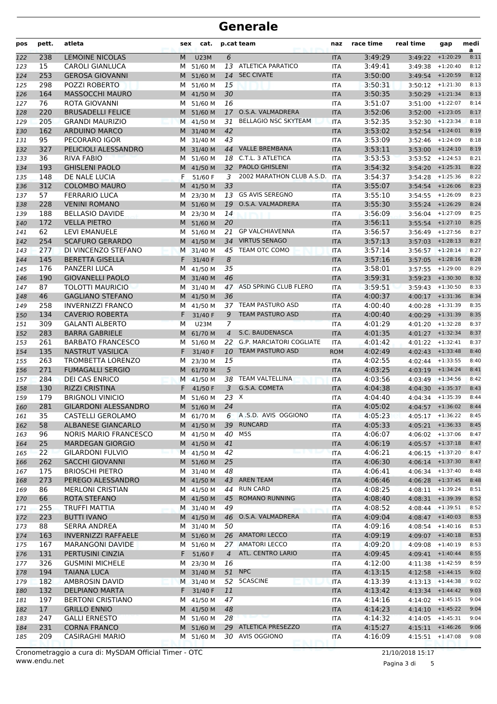| pos        | pett.      | atleta                                                 | sex    | cat.                   |                | p.cat team                              | naz                      | race time          | real time                                  | gap                | medi<br>a    |
|------------|------------|--------------------------------------------------------|--------|------------------------|----------------|-----------------------------------------|--------------------------|--------------------|--------------------------------------------|--------------------|--------------|
| 122        | 238        | <b>LEMOINE NICOLAS</b>                                 | М      | <b>U23M</b>            | 6              |                                         | <b>ITA</b>               | 3:49:29            | 3:49:22                                    | $+1:20:29$         | 8:11         |
| 123        | 15         | <b>CAROLI GIANLUCA</b>                                 | м      | 51/60 M                |                | 13 ATLETICA PARATICO                    | <b>ITA</b>               | 3:49:41            | 3:49:38                                    | $+1:20:40$         | 8:12         |
| 124        | 253        | <b>GEROSA GIOVANNI</b>                                 | M      | 51/60 M                | 14             | <b>SEC CIVATE</b>                       | <b>ITA</b>               | 3:50:00            | 3:49:54                                    | $+1:20:59$         | 8:12         |
| 125        | 298        | POZZI ROBERTO                                          | м      | 51/60 M                | 15             |                                         | <b>ITA</b>               | 3:50:31            | 3:50:12                                    | $+1:21:30$         | 8:13         |
| 126        | 164        | <b>MASSOCCHI MAURO</b>                                 |        | M 41/50 M              | 30             |                                         | <b>ITA</b>               | 3:50:35            | 3:50:29                                    | $+1:21:34$         | 8:13         |
| 127        | 76         | ROTA GIOVANNI                                          | м      | 51/60 M                | 16             |                                         | <b>ITA</b>               | 3:51:07            | 3:51:00                                    | $+1:22:07$         | 8:14         |
| 128        | 220        | <b>BRUSADELLI FELICE</b>                               |        | M 51/60 M              | 17             | O.S.A. VALMADRERA                       | <b>ITA</b>               | 3:52:06            | 3:52:00                                    | $+1:23:05$         | 8:17         |
| 129        | 205        | <b>GRANDI MAURIZIO</b>                                 |        | M 41/50 M              | 31             | <b>BELLAGIO NSC SKYTEAM</b>             | <b>ITA</b>               | 3:52:35            |                                            | $3:52:30$ +1:23:34 | 8:18         |
| 130        | 162        | <b>ARDUINO MARCO</b>                                   |        | M 31/40 M              | 42             |                                         | <b>ITA</b>               | 3:53:02            | $3:52:54$ +1:24:01                         |                    | 8:19         |
| 131        | 95         | PECORARO IGOR                                          | м      | 31/40 M                | 43             | <b>VALLE BREMBANA</b>                   | <b>ITA</b>               | 3:53:09            | 3:52:46                                    | $+1:24:09$         | 8:18         |
| 132        | 327<br>36  | PELICIOLI ALESSANDRO<br><b>RIVA FABIO</b>              |        | M 31/40 M              | 44<br>18       | C.T.L. 3 ATLETICA                       | <b>ITA</b>               | 3:53:11<br>3:53:53 | $3:53:00 + 1:24:10$                        |                    | 8:19<br>8:21 |
| 133        |            | <b>GHISLENI PAOLO</b>                                  | м      | 51/60 M                | 32             | <b>PAOLO GHISLENI</b>                   | <b>ITA</b>               | 3:54:32            | $3:53:52$ +1:24:53                         | $+1:25:31$         | 8:22         |
| 134<br>135 | 193<br>148 | DE NALE LUCIA                                          | F.     | M 41/50 M<br>51/60 F   | 3              | 2002 MARATHON CLUB A.S.D.               | <b>ITA</b><br><b>ITA</b> | 3:54:37            | 3:54:20<br>3:54:28                         | $+1:25:36$         | 8:22         |
| 136        | 312        | <b>COLOMBO MAURO</b>                                   | м      | 41/50 M                | 33             |                                         | <b>ITA</b>               | 3:55:07            | 3:54:54                                    | $+1:26:06$         | 8:23         |
| 137        | 57         | <b>FERRARIO LUCA</b>                                   |        | M 23/30 M              | 13             | <b>GS AVIS SEREGNO</b>                  | <b>ITA</b>               | 3:55:10            | 3:54:55                                    | $+1:26:09$         | 8:23         |
| 138        | 228        | <b>VENINI ROMANO</b>                                   |        | M 51/60 M              | 19             | O.S.A. VALMADRERA                       | <b>ITA</b>               | 3:55:30            | 3:55:24                                    | $+1:26:29$         | 8:24         |
| 139        | 188        | <b>BELLASIO DAVIDE</b>                                 | м      | 23/30 M                | 14             |                                         | ITA                      | 3:56:09            | 3:56:04                                    | $+1:27:09$         | 8:25         |
| 140        | 172        | <b>VELLA PIETRO</b>                                    |        | M 51/60 M              | 20             |                                         | <b>ITA</b>               | 3:56:11            | 3:55:54                                    | $+1:27:10$         | 8:25         |
| 141        | 62         | <b>LEVI EMANUELE</b>                                   | м      | 51/60 M                | 21             | <b>GP VALCHIAVENNA</b>                  | <b>ITA</b>               | 3:56:57            | 3:56:49                                    | $+1:27:56$         | 8:27         |
| 142        | 254        | <b>SCAFURO GERARDO</b>                                 |        | M 41/50 M              | 34             | <b>VIRTUS SENAGO</b>                    | <b>ITA</b>               | 3:57:13            | 3:57:03                                    | $+1:28:13$         | 8:27         |
| 143        | 277        | DI VINCENZO STEFANO                                    |        | M 31/40 M              | 45             | TEAM OTC COMO                           | <b>ITA</b>               | 3:57:14            | $3:56:57$ +1:28:14                         |                    | 8:27         |
| 144        | 145        | <b>BERETTA GISELLA</b>                                 | F      | 31/40 F                | 8              |                                         | <b>ITA</b>               | 3:57:16            | 3:57:05                                    | $+1:28:16$         | 8:28         |
| 145        | 176        | <b>PANZERI LUCA</b>                                    | м      | 41/50 M                | 35             |                                         | <b>ITA</b>               | 3:58:01            | 3:57:55                                    | $+1:29:00$         | 8:29         |
| 146        | 190        | <b>GIOVANELLI PAOLO</b>                                |        | M 31/40 M              | 46             |                                         | <b>ITA</b>               | 3:59:31            | 3:59:23                                    | $+1:30:30$         | 8:32         |
| 147        | 87         | <b>TOLOTTI MAURICIO</b>                                | м      | 31/40 M                |                | 47 ASD SPRING CLUB FLERO                | <b>ITA</b>               | 3:59:51            | 3:59:43                                    | $+1:30:50$         | 8:33         |
| 148        | 46         | <b>GAGLIANO STEFANO</b>                                |        | M 41/50 M              | 36             |                                         | <b>ITA</b>               | 4:00:37            | $4:00:17$ +1:31:36                         |                    | 8:34         |
| 149        | 258        | <b>INVERNIZZI FRANCO</b>                               | м      | 41/50 M                |                | 37 TEAM PASTURO ASD                     | <b>ITA</b>               | 4:00:40            | 4:00:28                                    | $+1:31:39$         | 8:35         |
| 150        | 134        | <b>CAVERIO ROBERTA</b>                                 | F      | 31/40 F                | 9              | <b>TEAM PASTURO ASD</b>                 | <b>ITA</b>               | 4:00:40            | 4:00:29                                    | $+1:31:39$         | 8:35         |
| 151        | 309        | <b>GALANTI ALBERTO</b>                                 | M      | <b>U23M</b>            | 7              |                                         | <b>ITA</b>               | 4:01:29            | 4:01:20                                    | $+1:32:28$         | 8:37         |
| 152        | 283        | <b>BARRA GABRIELE</b>                                  | M      | 61/70 M                | $\overline{4}$ | S.C. BAUDENASCA                         | <b>ITA</b>               | 4:01:35            | 4:01:27                                    | $+1:32:34$         | 8:37         |
| 153        | 261        | <b>BARBATO FRANCESCO</b>                               | м      | 51/60 M                | 22             | <b>G.P. MARCIATORI COGLIATE</b>         | <b>ITA</b>               | 4:01:42            | 4:01:22                                    | $+1:32:41$         | 8:37         |
| 154        | 135        | <b>NASTRUT VASILICA</b>                                | F.     | 31/40 F                | 10             | <b>TEAM PASTURO ASD</b>                 | <b>ROM</b>               | 4:02:49            | 4:02:43                                    | $+1:33:48$         | 8:40         |
| 155        | 263        | <b>TROMBETTA LORENZO</b>                               | м      | 23/30 M                | 15             |                                         | <b>ITA</b>               | 4:02:55            | 4:02:44                                    | $+1:33:55$         | 8:40         |
| 156        | 271        | <b>FUMAGALLI SERGIO</b>                                |        | M 61/70 M              | 5              |                                         | <b>ITA</b>               | 4:03:25            | 4:03:19                                    | $+1:34:24$         | 8:41         |
| 157        | 284        | <b>DEI CAS ENRICO</b>                                  | M      | 41/50 M                | 38             | <b>TEAM VALTELLINA</b><br>G.S.A. COMETA | <b>ITA</b>               | 4:03:56            | 4:03:49                                    | $+1:34:56$         | 8:42         |
| 158        | 130        | <b>RIZZI CRISTINA</b>                                  | F      | 41/50 F                | 3<br>23 X      |                                         | <b>ITA</b>               | 4:04:38            | 4:04:30                                    | $+1:35:37$         | 8:43<br>8:44 |
| 159        | 179<br>281 | <b>BRIGNOLI VINICIO</b><br><b>GILARDONI ALESSANDRO</b> | М<br>M | 51/60 M<br>51/60 M     | 24             |                                         | <b>ITA</b>               | 4:04:40<br>4:05:02 | 4:04:34<br>$4:04:57$ +1:36:02              | $+1:35:39$         | 8:44         |
| 160<br>161 | 35         | <b>CASTELLI GEROLAMO</b>                               |        | M 61/70 M              | 6              | A.S.D. AVIS OGGIONO                     | <b>ITA</b><br>ITA        | 4:05:23            | $4:05:17$ +1:36:22                         |                    | 8:45         |
| 162        | 58         | <b>ALBANESE GIANCARLO</b>                              |        | M 41/50 M              | 39             | <b>RUNCARD</b>                          | <b>ITA</b>               | 4:05:33            | $4:05:21 + 1:36:33$                        |                    | 8:45         |
| 163        | 96         | <b>NORIS MARIO FRANCESCO</b>                           |        | M 41/50 M              | 40             | M5S                                     | ITA                      | 4:06:07            | $4:06:02$ +1:37:06                         |                    | 8:47         |
| 164        | 25         | <b>MARDEGAN GIORGIO</b>                                |        | M 41/50 M              | 41             |                                         | <b>ITA</b>               | 4:06:19            | $4:05:57$ +1:37:18                         |                    | 8:47         |
| 165        | 22         | <b>GILARDONI FULVIO</b>                                |        | M 41/50 M              | 42             |                                         | <b>ITA</b>               | 4:06:21            | $4:06:15$ +1:37:20                         |                    | 8:47         |
| 166        | 262        | <b>SACCHI GIOVANNI</b>                                 |        | M 51/60 M              | 25             |                                         | <b>ITA</b>               | 4:06:30            | $4:06:14$ +1:37:30                         |                    | 8:47         |
| 167        | 175        | <b>BRIOSCHI PIETRO</b>                                 |        | M 31/40 M              | 48             |                                         | ITA                      | 4:06:41            | $4:06:34$ +1:37:40                         |                    | 8:48         |
| 168        | 273        | PEREGO ALESSANDRO                                      |        | M 41/50 M              | 43             | <b>AREN TEAM</b>                        | <b>ITA</b>               | 4:06:46            | $4:06:28$ +1:37:45                         |                    | 8:48         |
| 169        | 86         | <b>MERLONI CRISTIAN</b>                                |        | M 41/50 M              | 44             | <b>RUN CARD</b>                         | ITA                      | 4:08:25            | $4:08:11$ $+1:39:24$                       |                    | 8:51         |
| 170        | 66         | ROTA STEFANO                                           |        | M 41/50 M              | 45             | <b>ROMANO RUNNING</b>                   | <b>ITA</b>               | 4:08:40            |                                            | $4:08:31$ +1:39:39 | 8:52         |
| 171        | 255        | <b>TRUFFI MATTIA</b>                                   |        | M 31/40 M              | 49             |                                         | ITA                      | 4:08:52            | $4:08:44$ +1:39:51                         |                    | 8:52         |
| 172        | 223        | <b>BUTTI IVANO</b>                                     |        | M 41/50 M              |                | 46 O.S.A. VALMADRERA                    | <b>ITA</b>               | 4:09:04            | $4:08:47$ +1:40:03                         |                    | 8:53         |
| 173        | 88         | <b>SERRA ANDREA</b>                                    |        | M 31/40 M              | 50             |                                         | ITA                      | 4:09:16            | $4:08:54$ +1:40:16                         |                    | 8:53         |
| 174        | 163        | <b>INVERNIZZI RAFFAELE</b>                             |        | M 51/60 M              |                | 26 AMATORI LECCO                        | <b>ITA</b>               | 4:09:19            | 4:09:07                                    | $+1:40:18$         | 8:53         |
| 175        | 167        | <b>MARANGONI DAVIDE</b>                                |        | M 51/60 M              |                | 27 AMATORI LECCO                        | ITA                      | 4:09:20            | 4:09:08                                    | $+1:40:19$         | 8:53         |
| 176        | 131        | PERTUSINI CINZIA                                       | F.     | 51/60 F                | $\overline{4}$ | ATL. CENTRO LARIO                       | <b>ITA</b>               | 4:09:45            | $4:09:41 + 1:40:44$                        |                    | 8:55         |
| 177        | 326        | <b>GUSMINI MICHELE</b>                                 |        | M 23/30 M              | 16             |                                         | <b>ITA</b>               | 4:12:00            | 4:11:38                                    | $+1:42:59$         | 8:59         |
| 178        | 194        | <b>TAIANA LUCA</b>                                     |        | M 31/40 M              |                | 51 NPC                                  | <b>ITA</b>               | 4:13:15            | $4:12:58$ +1:44:15                         |                    | 9:02         |
| 179        | 182        | AMBROSIN DAVID                                         |        | M 31/40 M              |                | 52 5CASCINE                             | <b>ITA</b>               | 4:13:39            | $4:13:13 + 1:44:38$                        |                    | 9:02         |
| 180        | 132        | <b>DELPIANO MARTA</b>                                  | F      | 31/40 F                | 11             |                                         | <b>ITA</b>               | 4:13:42            | 4:13:34                                    | $+1:44:42$         | 9:03         |
| 181        | 197        | <b>BERTONI CRISTIANO</b>                               |        | M 41/50 M              | 47             |                                         | ITA                      | 4:14:16            | $4:14:02$ +1:45:15                         |                    | 9:04         |
| 182        | 17         | <b>GRILLO ENNIO</b>                                    |        | M 41/50 M              | 48             |                                         | <b>ITA</b>               | 4:14:23            | $4:14:10 + 1:45:22$                        |                    | 9:04         |
| 183        | 247        | <b>GALLI ERNESTO</b>                                   |        | M 51/60 M              | 28             | 29 ATLETICA PRESEZZO                    | <b>ITA</b>               | 4:14:32            | $4:14:05$ +1:45:31<br>$4:15:11$ $+1:46:26$ |                    | 9:04<br>9:06 |
| 184        | 231<br>209 | <b>CORNA FRANCO</b><br><b>CASIRAGHI MARIO</b>          |        | M 51/60 M<br>M 51/60 M |                | 30 AVIS OGGIONO                         | <b>ITA</b>               | 4:15:27<br>4:16:09 |                                            |                    | 9:08         |
| 185        |            |                                                        |        |                        |                |                                         | ITA                      |                    |                                            | $4:15:51$ +1:47:08 |              |

Pagina 3 di 5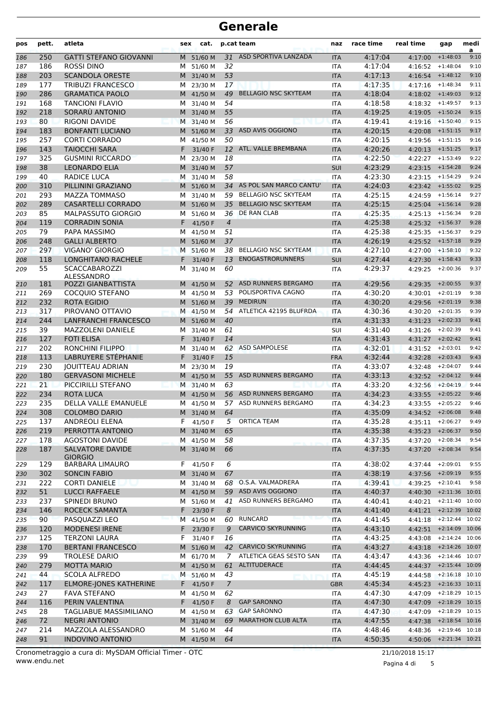| pos | pett.     | atleta                                               | sex | cat.                 |                      | p.cat team                              | naz        | race time          | real time             | gap                                        | medi<br>a |
|-----|-----------|------------------------------------------------------|-----|----------------------|----------------------|-----------------------------------------|------------|--------------------|-----------------------|--------------------------------------------|-----------|
| 186 | 250       | <b>GATTI STEFANO GIOVANNI</b>                        |     | M 51/60 M            |                      | 31 ASD SPORTIVA LANZADA                 | <b>ITA</b> | 4:17:04            | 4:17:00               | $+1:48:03$                                 | 9:10      |
| 187 | 186       | <b>ROSSI DINO</b>                                    | M   | 51/60 M              | 32                   |                                         | <b>ITA</b> | 4:17:04            | 4:16:52               | $+1:48:04$                                 | 9:10      |
| 188 | 203       | <b>SCANDOLA ORESTE</b>                               |     | M 31/40 M            | 53                   |                                         | <b>ITA</b> | 4:17:13            | $4:16:54$ +1:48:12    |                                            | 9:10      |
| 189 | 177       | <b>TRIBUZI FRANCESCO</b>                             | м   | 23/30 M              | 17                   |                                         | <b>ITA</b> | 4:17:35            | 4:17:16               | $+1:48:34$                                 | 9:11      |
| 190 | 286       | <b>GRAMATICA PAOLO</b>                               |     | M 41/50 M            | 49                   | <b>BELLAGIO NSC SKYTEAM</b>             | <b>ITA</b> | 4:18:04            | $4:18:02 + 1:49:03$   |                                            | 9:12      |
| 191 | 168       | <b>TANCIONI FLAVIO</b>                               |     | M 31/40 M            | 54                   |                                         | <b>ITA</b> | 4:18:58            | $4:18:32 + 1:49:57$   |                                            | 9:13      |
| 192 | 218       | SORARÚ ANTONIO                                       |     | M 31/40 M            | 55                   |                                         | <b>ITA</b> | 4:19:25            | $4:19:05$ +1:50:24    |                                            | 9:15      |
| 193 | 80        | <b>RIGONI DAVIDE</b>                                 |     | M 31/40 M            | 56                   |                                         | <b>ITA</b> | 4:19:41            | $4:19:16$ +1:50:40    |                                            | 9:15      |
| 194 | 183       | <b>BONFANTI LUCIANO</b>                              |     | M 51/60 M            | 33                   | ASD AVIS OGGIONO                        | <b>ITA</b> | 4:20:15            | 4:20:08               | $+1:51:15$                                 | 9:17      |
| 195 | 257       | <b>CORTI CORRADO</b>                                 | м   | 41/50 M              | 50                   |                                         | <b>ITA</b> | 4:20:15            | 4:19:56               | $+1:51:15$                                 | 9:16      |
| 196 | 143       | <b>TAIOCCHI SARA</b>                                 | F   | 31/40 F              | 12                   | ATL. VALLE BREMBANA                     | <b>ITA</b> | 4:20:26            | $4:20:13$ +1:51:25    |                                            | 9:17      |
| 197 | 325       | <b>GUSMINI RICCARDO</b>                              |     | M 23/30 M            | 18                   |                                         | ITA        | 4:22:50            | 4:22:27               | $+1:53:49$                                 | 9:22      |
| 198 | 38        | <b>LEONARDO ELIA</b>                                 |     | M 31/40 M            | 57                   |                                         | SUI        | 4:23:29            | 4:23:15               | $+1:54:28$                                 | 9:24      |
| 199 | 40        | <b>RADICE LUCA</b>                                   |     | M 31/40 M            | 58                   |                                         | <b>ITA</b> | 4:23:30            | 4:23:15               | $+1:54:29$                                 | 9:24      |
| 200 | 310       | PILLININI GRAZIANO                                   | M   | 51/60 M              | 34                   | AS POL SAN MARCO CANTU'                 | <b>ITA</b> | 4:24:03            | $4:23:42$ +1:55:02    |                                            | 9:25      |
| 201 | 293       | <b>MAZZA TOMMASO</b>                                 | м   | 31/40 M              | 59                   | <b>BELLAGIO NSC SKYTEAM</b>             | <b>ITA</b> | 4:25:15            | 4:24:59               | $+1:56:14$                                 | 9:27      |
| 202 | 289       | CASARTELLI CORRADO                                   |     | M 51/60 M            | 35                   | <b>BELLAGIO NSC SKYTEAM</b>             | <b>ITA</b> | 4:25:15            | $4:25:04$ +1:56:14    |                                            | 9:28      |
| 203 | 85        | <b>MALPASSUTO GIORGIO</b>                            |     | M 51/60 M            | 36                   | <b>DE RAN CLAB</b>                      | <b>ITA</b> | 4:25:35            | $4:25:13$ $+1:56:34$  |                                            | 9:28      |
| 204 | 119       | <b>CORRADIN SONIA</b>                                | F.  | 41/50 F              | $\overline{4}$       |                                         | <b>ITA</b> | 4:25:38            | $4:25:32$ +1:56:37    |                                            | 9:28      |
| 205 | 79        | PAPA MASSIMO                                         | м   | 41/50 M              | 51                   |                                         | ITA        | 4:25:38            | 4:25:35               | $+1:56:37$                                 | 9:29      |
| 206 | 248       | <b>GALLI ALBERTO</b>                                 | м   | 51/60 M              | 37                   |                                         | <b>ITA</b> | 4:26:19            | $4:25:52$ $+1:57:18$  |                                            | 9:29      |
| 207 | 297       | VIGANO' GIORGIO                                      | м   | 51/60 M              | 38                   | <b>BELLAGIO NSC SKYTEAM</b>             | <b>ITA</b> | 4:27:10            | 4:27:00               | $+1:58:10$                                 | 9:32      |
| 208 | 118       | LONGHITANO RACHELE                                   | F.  | 31/40 F              | 13                   | <b>ENOGASTRORUNNERS</b>                 | SUI        | 4:27:44            | 4:27:30               | $+1:58:43$                                 | 9:33      |
| 209 | 55        | SCACCABAROZZI                                        | м   | 31/40 M              | 60                   |                                         | <b>ITA</b> | 4:29:37            | 4:29:25               | $+2:00:36$                                 | 9:37      |
| 210 | 181       | ALESSANDRO<br>POZZI GIANBATTISTA                     |     | M 41/50 M            | 52                   | ASD RUNNERS BERGAMO                     | <b>ITA</b> | 4:29:56            | 4:29:35               | $+2:00:55$                                 | 9:37      |
| 211 | 269       | COCQUIO STEFANO                                      | м   | 41/50 M              |                      | 53 POLISPORTIVA CAGNO                   | <b>ITA</b> | 4:30:20            | 4:30:01               | $+2:01:19$                                 | 9:38      |
| 212 | 232       | ROTA EGIDIO                                          |     | M 51/60 M            | 39                   | <b>MEDIRUN</b>                          | <b>ITA</b> | 4:30:20            | 4:29:56               | $+2:01:19$                                 | 9:38      |
| 213 | 317       | PIROVANO OTTAVIO                                     |     | M 41/50 M            | 54                   | ATLETICA 42195 BLUFRDA                  | <b>ITA</b> | 4:30:36            | 4:30:20               | $+2:01:35$                                 | 9:39      |
| 214 | 244       | <b>LANFRANCHI FRANCESCO</b>                          |     | M 51/60 M            | 40                   |                                         | <b>ITA</b> | 4:31:33            | 4:31:23               | $+2:02:33$                                 | 9:41      |
| 215 | 39        | <b>MAZZOLENI DANIELE</b>                             | м   | 31/40 M              | 61                   |                                         | SUI        | 4:31:40            | 4:31:26               | $+2:02:39$                                 | 9:41      |
| 216 | 127       | <b>FOTI ELISA</b>                                    |     | 31/40 F              | 14                   |                                         | <b>ITA</b> | 4:31:43            | 4:31:27               | $+2:02:42$                                 | 9:41      |
| 217 | 202       | <b>RONCHINI FILIPPO</b>                              | м   | 31/40 M              | 62                   | <b>ASD SAMPOLESE</b>                    | <b>ITA</b> | 4:32:01            | 4:31:52               | $+2:03:01$                                 | 9:42      |
| 218 | 113       | LABRUYERE STÉPHANIE                                  | F   | 31/40 F              | 15                   |                                         | <b>FRA</b> | 4:32:44            | 4:32:28               | $+2:03:43$                                 | 9:43      |
| 219 | 230       | <b>IOUITTEAU ADRIAN</b>                              |     | M 23/30 M            | 19                   |                                         | <b>ITA</b> | 4:33:07            | 4:32:48               | $+2:04:07$                                 | 9:44      |
| 220 | 180       | <b>GERVASONI MICHELE</b>                             |     | M 41/50 M            | 55                   | ASD RUNNERS BERGAMO                     | <b>ITA</b> | 4:33:13            | $4:32:52$ +2:04:12    |                                            | 9:44      |
| 221 | 21        | PICCIRILLI STEFANO                                   |     | M 31/40 M            | 63                   |                                         | <b>ITA</b> | 4:33:20            | $4:32:56$ +2:04:19    |                                            | 9:44      |
| 222 | 234       | ROTA LUCA                                            |     | M 41/50 M            |                      | 56 ASD RUNNERS BERGAMO                  | <b>ITA</b> | 4:34:23            | 4:33:55               | $+2:05:22$                                 | 9:46      |
| 223 | 235       | DELLA VALLE EMANUELE                                 |     | M 41/50 M            |                      | 57 ASD RUNNERS BERGAMO                  | <b>ITA</b> | 4:34:23            |                       | $4:33:55 + 2:05:22$                        | 9:46      |
| 224 | 308       | <b>COLOMBO DARIO</b>                                 |     | M 31/40 M            | 64                   |                                         | <b>ITA</b> | 4:35:09            | 4:34:52 +2:06:08 9:48 |                                            |           |
| 225 | 137       | <b>ANDREOLI ELENA</b>                                | F.  | 41/50 F              | 5 <sup>5</sup>       | <b>ORTICA TEAM</b>                      | ITA        | 4:35:28            | $4:35:11$ +2:06:27    |                                            | 9:49      |
| 226 | 219       | PERROTTA ANTONIO                                     |     | M 31/40 M            | 65                   |                                         | <b>ITA</b> | 4:35:38            | $4:35:23 + 2:06:37$   |                                            | 9:50      |
| 227 | 178       | <b>AGOSTONI DAVIDE</b>                               |     | M 41/50 M            | 58                   |                                         | ITA        | 4:37:35            | 4:37:20 +2:08:34      |                                            | 9:54      |
| 228 | 187       | <b>SALVATORE DAVIDE</b>                              |     | M 31/40 M            | 66                   |                                         | <b>ITA</b> | 4:37:35            | $4:37:20 + 2:08:34$   |                                            | 9:54      |
| 229 | 129       | <b>GIORGIO</b><br><b>BARBARA LIMAURO</b>             | F   | 41/50 F              | 6                    |                                         | ITA        | 4:38:02            | $4:37:44$ +2:09:01    |                                            | 9:55      |
|     | 302       | <b>SONCIN FABIO</b>                                  |     | M 31/40 M            | 67                   |                                         | <b>ITA</b> | 4:38:19            | 4:37:56 +2:09:19      |                                            | 9:55      |
| 230 | 222       | <b>CORTI DANIELE</b>                                 |     | M 31/40 M            |                      | 68 O.S.A. VALMADRERA                    | <b>ITA</b> | 4:39:41            | 4:39:25 +2:10:41      |                                            | 9:58      |
| 231 | 51        |                                                      |     | M 41/50 M            |                      | 59 ASD AVIS OGGIONO                     |            |                    |                       | 4:40:30 +2:11:36 10:01                     |           |
| 232 |           | <b>LUCCI RAFFAELE</b><br>SPINEDI BRUNO               |     | M 51/60 M            |                      | ASD RUNNERS BERGAMO                     | <b>ITA</b> | 4:40:37            |                       |                                            |           |
| 233 | 237       |                                                      |     |                      | 41                   |                                         | ITA        | 4:40:41            | 4:40:21               | $+2:11:40$ 10:00<br>4:41:21 +2:12:39 10:02 |           |
| 234 | 146       | ROCECK SAMANTA                                       | F.  | 23/30 F              | 8                    | 60 RUNCARD                              | <b>ITA</b> | 4:41:40            |                       | $4:41:18$ +2:12:44 10:02                   |           |
| 235 | 90        | PASQUAZZI LEO                                        |     | M 41/50 M            |                      |                                         | <b>ITA</b> | 4:41:45            |                       | 4:42:51 +2:14:09 10:06                     |           |
| 236 | 120       | MODENESI IRENE                                       | F.  | 23/30 F              | 9<br>16              | <b>CARVICO SKYRUNNING</b>               | <b>ITA</b> | 4:43:10            |                       | $+2:14:24$ 10:06                           |           |
| 237 | 125       | <b>TERZONI LAURA</b>                                 | F.  | 31/40 F              |                      | <b>CARVICO SKYRUNNING</b>               | <b>ITA</b> | 4:43:25            | 4:43:08               | 4:43:18 +2:14:26 10:07                     |           |
| 238 | 170       | <b>BERTANI FRANCESCO</b>                             |     | M 51/60 M            | 42                   |                                         | <b>ITA</b> | 4:43:27            |                       |                                            |           |
| 239 | 99        | <b>TROLESE DARIO</b>                                 | М   | 61/70 M              | 7                    | ATLETICA GEAS SESTO SAN<br>ALTITUDERACE | ITA        | 4:43:47            | 4:43:36               | $+2:14:46$ 10:07<br>4:44:37 +2:15:44 10:09 |           |
| 240 | 279       | <b>MOTTA MARIO</b><br><b>SCOLA ALFREDO</b>           |     | M 41/50 M            | 61                   |                                         | <b>ITA</b> | 4:44:45            |                       | 4:44:58 +2:16:18 10:10                     |           |
| 241 | 44        |                                                      |     | M 51/60 M            | 43                   |                                         | <b>ITA</b> | 4:45:19            |                       | 4:45:23 +2:16:33 10:11                     |           |
| 242 | 117<br>27 | <b>ELMORE-JONES KATHERINE</b><br><b>FAVA STEFANO</b> | F.  | 41/50 F<br>M 41/50 M | $\overline{7}$<br>62 |                                         | <b>GBR</b> | 4:45:34<br>4:47:30 |                       | $+2:18:29$ 10:15                           |           |
| 243 | 116       |                                                      |     | 41/50 F              | 8                    | <b>GAP SARONNO</b>                      | <b>ITA</b> |                    | 4:47:09               | 4:47:09 +2:18:29 10:15                     |           |
| 244 | 28        | PERIN VALENTINA                                      | F.  |                      |                      | <b>GAP SARONNO</b>                      | <b>ITA</b> | 4:47:30            |                       | $+2:18:29$ 10:15                           |           |
| 245 |           | TAGLIABUE MASSIMILIANO                               | м   | 41/50 M              | 63                   | <b>MARATHON CLUB ALTA</b>               | ITA        | 4:47:30            | 4:47:09               | 4:47:38 +2:18:54 10:16                     |           |
| 246 | 72        | <b>NEGRI ANTONIO</b>                                 |     | M 31/40 M            | 69                   |                                         | <b>ITA</b> | 4:47:55            |                       | $4:48:36$ +2:19:46 10:18                   |           |
| 247 | 214       | MAZZOLA ALESSANDRO                                   |     | M 51/60 M            | 44                   |                                         | <b>ITA</b> | 4:48:46            |                       |                                            |           |
| 248 | 91        | <b>INDOVINO ANTONIO</b>                              |     | M 41/50 M            | 64                   |                                         | <b>ITA</b> | 4:50:35            |                       | 4:50:06 +2:21:34 10:21                     |           |

Pagina 4 di 5